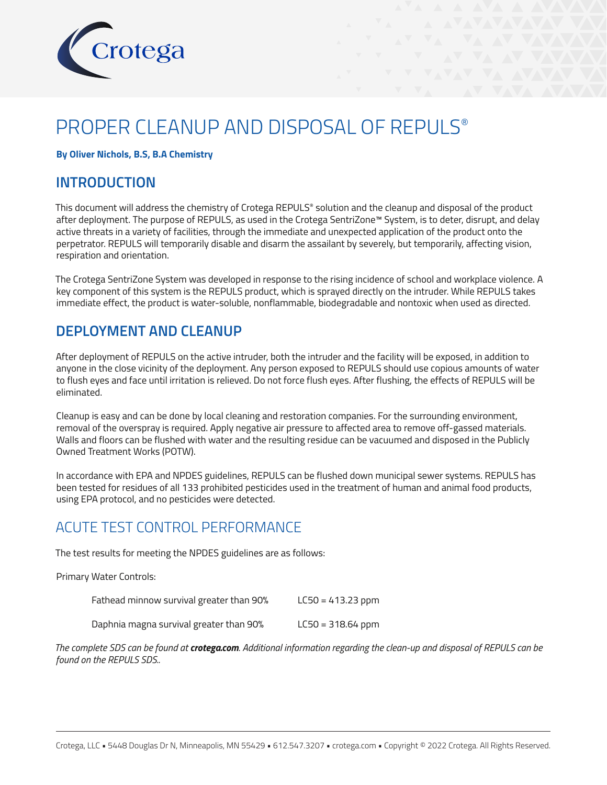

# PROPER CLEANUP AND DISPOSAL OF REPULS®

### **By Oliver Nichols, B.S, B.A Chemistry**

### **INTRODUCTION**

This document will address the chemistry of Crotega REPULS® solution and the cleanup and disposal of the product after deployment. The purpose of REPULS, as used in the Crotega SentriZone™ System, is to deter, disrupt, and delay active threats in a variety of facilities, through the immediate and unexpected application of the product onto the perpetrator. REPULS will temporarily disable and disarm the assailant by severely, but temporarily, affecting vision, respiration and orientation.

The Crotega SentriZone System was developed in response to the rising incidence of school and workplace violence. A key component of this system is the REPULS product, which is sprayed directly on the intruder. While REPULS takes immediate effect, the product is water-soluble, nonflammable, biodegradable and nontoxic when used as directed.

# **DEPLOYMENT AND CLEANUP**

After deployment of REPULS on the active intruder, both the intruder and the facility will be exposed, in addition to anyone in the close vicinity of the deployment. Any person exposed to REPULS should use copious amounts of water to flush eyes and face until irritation is relieved. Do not force flush eyes. After flushing, the effects of REPULS will be eliminated.

Cleanup is easy and can be done by local cleaning and restoration companies. For the surrounding environment, removal of the overspray is required. Apply negative air pressure to affected area to remove off-gassed materials. Walls and floors can be flushed with water and the resulting residue can be vacuumed and disposed in the Publicly Owned Treatment Works (POTW).

In accordance with EPA and NPDES guidelines, REPULS can be flushed down municipal sewer systems. REPULS has been tested for residues of all 133 prohibited pesticides used in the treatment of human and animal food products, using EPA protocol, and no pesticides were detected.

# ACUTE TEST CONTROL PERFORMANCE

The test results for meeting the NPDES guidelines are as follows:

Primary Water Controls:

| Fathead minnow survival greater than 90% | $LC50 = 413.23$ ppm |
|------------------------------------------|---------------------|
| Daphnia magna survival greater than 90%  | $LC50 = 318.64$ ppm |

*The complete SDS can be found at crotega.com. Additional information regarding the clean-up and disposal of REPULS can be found on the REPULS SDS..*